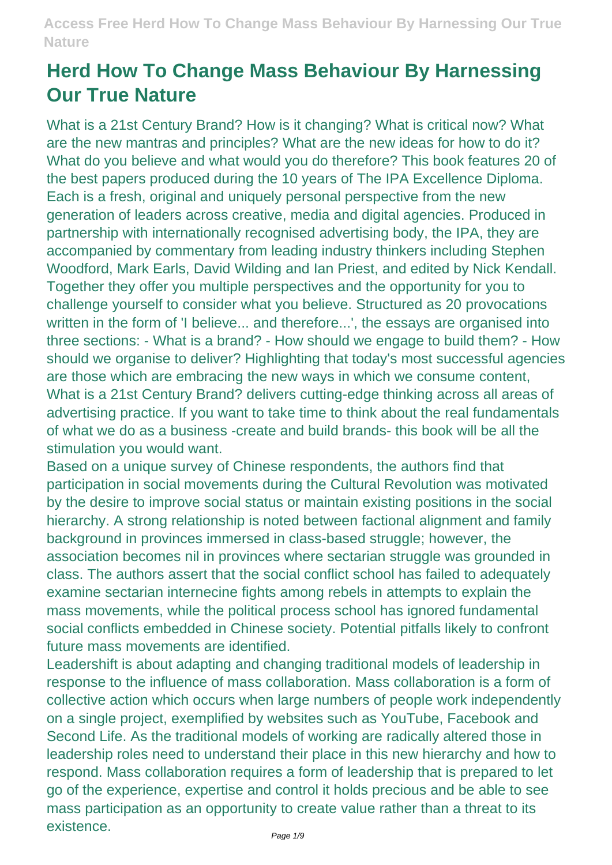# **Herd How To Change Mass Behaviour By Harnessing Our True Nature**

What is a 21st Century Brand? How is it changing? What is critical now? What are the new mantras and principles? What are the new ideas for how to do it? What do you believe and what would you do therefore? This book features 20 of the best papers produced during the 10 years of The IPA Excellence Diploma. Each is a fresh, original and uniquely personal perspective from the new generation of leaders across creative, media and digital agencies. Produced in partnership with internationally recognised advertising body, the IPA, they are accompanied by commentary from leading industry thinkers including Stephen Woodford, Mark Earls, David Wilding and Ian Priest, and edited by Nick Kendall. Together they offer you multiple perspectives and the opportunity for you to challenge yourself to consider what you believe. Structured as 20 provocations written in the form of 'I believe... and therefore...', the essays are organised into three sections: - What is a brand? - How should we engage to build them? - How should we organise to deliver? Highlighting that today's most successful agencies are those which are embracing the new ways in which we consume content, What is a 21st Century Brand? delivers cutting-edge thinking across all areas of advertising practice. If you want to take time to think about the real fundamentals of what we do as a business -create and build brands- this book will be all the stimulation you would want.

Based on a unique survey of Chinese respondents, the authors find that participation in social movements during the Cultural Revolution was motivated by the desire to improve social status or maintain existing positions in the social hierarchy. A strong relationship is noted between factional alignment and family background in provinces immersed in class-based struggle; however, the association becomes nil in provinces where sectarian struggle was grounded in class. The authors assert that the social conflict school has failed to adequately examine sectarian internecine fights among rebels in attempts to explain the mass movements, while the political process school has ignored fundamental social conflicts embedded in Chinese society. Potential pitfalls likely to confront future mass movements are identified.

Leadershift is about adapting and changing traditional models of leadership in response to the influence of mass collaboration. Mass collaboration is a form of collective action which occurs when large numbers of people work independently on a single project, exemplified by websites such as YouTube, Facebook and Second Life. As the traditional models of working are radically altered those in leadership roles need to understand their place in this new hierarchy and how to respond. Mass collaboration requires a form of leadership that is prepared to let go of the experience, expertise and control it holds precious and be able to see mass participation as an opportunity to create value rather than a threat to its existence.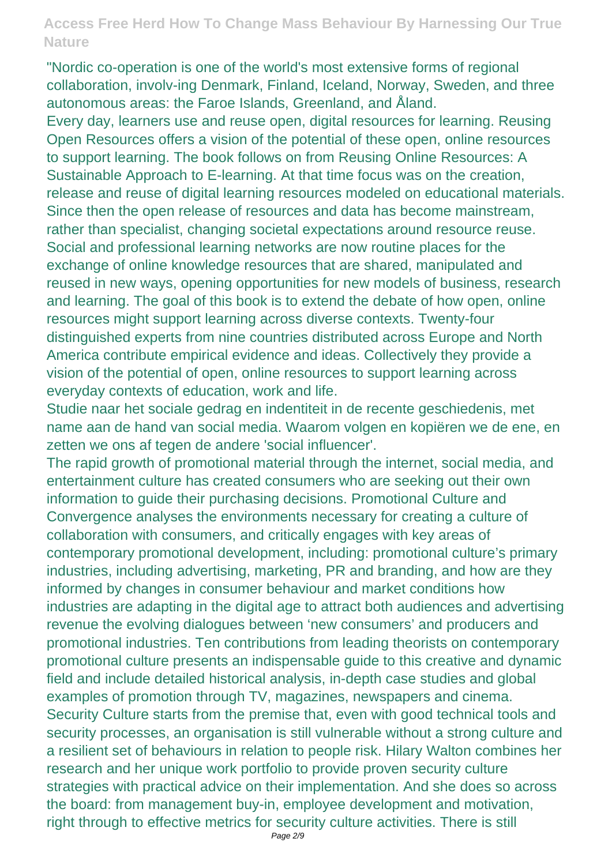"Nordic co-operation is one of the world's most extensive forms of regional collaboration, involv-ing Denmark, Finland, Iceland, Norway, Sweden, and three autonomous areas: the Faroe Islands, Greenland, and Åland.

Every day, learners use and reuse open, digital resources for learning. Reusing Open Resources offers a vision of the potential of these open, online resources to support learning. The book follows on from Reusing Online Resources: A Sustainable Approach to E-learning. At that time focus was on the creation, release and reuse of digital learning resources modeled on educational materials. Since then the open release of resources and data has become mainstream, rather than specialist, changing societal expectations around resource reuse. Social and professional learning networks are now routine places for the exchange of online knowledge resources that are shared, manipulated and reused in new ways, opening opportunities for new models of business, research and learning. The goal of this book is to extend the debate of how open, online resources might support learning across diverse contexts. Twenty-four distinguished experts from nine countries distributed across Europe and North America contribute empirical evidence and ideas. Collectively they provide a vision of the potential of open, online resources to support learning across everyday contexts of education, work and life.

Studie naar het sociale gedrag en indentiteit in de recente geschiedenis, met name aan de hand van social media. Waarom volgen en kopiëren we de ene, en zetten we ons af tegen de andere 'social influencer'.

The rapid growth of promotional material through the internet, social media, and entertainment culture has created consumers who are seeking out their own information to guide their purchasing decisions. Promotional Culture and Convergence analyses the environments necessary for creating a culture of collaboration with consumers, and critically engages with key areas of contemporary promotional development, including: promotional culture's primary industries, including advertising, marketing, PR and branding, and how are they informed by changes in consumer behaviour and market conditions how industries are adapting in the digital age to attract both audiences and advertising revenue the evolving dialogues between 'new consumers' and producers and promotional industries. Ten contributions from leading theorists on contemporary promotional culture presents an indispensable guide to this creative and dynamic field and include detailed historical analysis, in-depth case studies and global examples of promotion through TV, magazines, newspapers and cinema. Security Culture starts from the premise that, even with good technical tools and security processes, an organisation is still vulnerable without a strong culture and a resilient set of behaviours in relation to people risk. Hilary Walton combines her research and her unique work portfolio to provide proven security culture strategies with practical advice on their implementation. And she does so across the board: from management buy-in, employee development and motivation, right through to effective metrics for security culture activities. There is still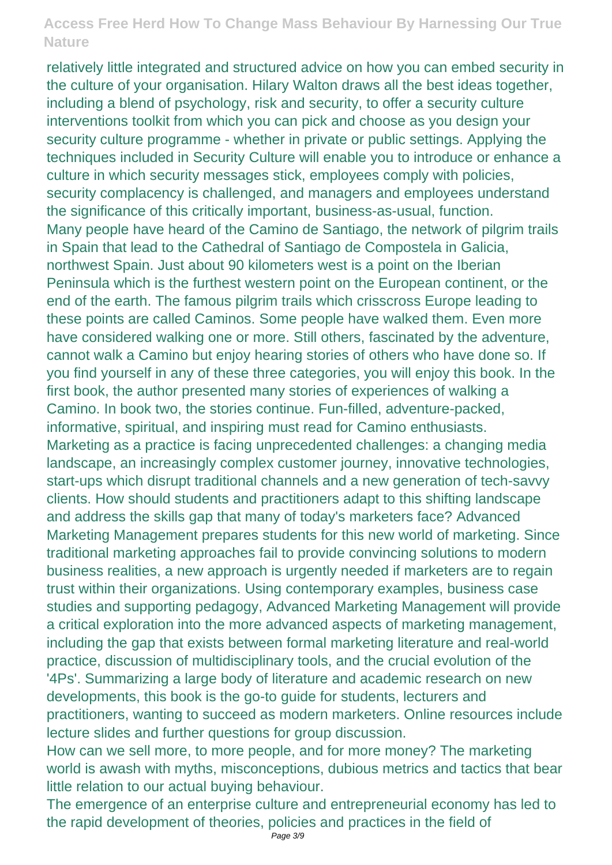relatively little integrated and structured advice on how you can embed security in the culture of your organisation. Hilary Walton draws all the best ideas together, including a blend of psychology, risk and security, to offer a security culture interventions toolkit from which you can pick and choose as you design your security culture programme - whether in private or public settings. Applying the techniques included in Security Culture will enable you to introduce or enhance a culture in which security messages stick, employees comply with policies, security complacency is challenged, and managers and employees understand the significance of this critically important, business-as-usual, function. Many people have heard of the Camino de Santiago, the network of pilgrim trails in Spain that lead to the Cathedral of Santiago de Compostela in Galicia, northwest Spain. Just about 90 kilometers west is a point on the Iberian Peninsula which is the furthest western point on the European continent, or the end of the earth. The famous pilgrim trails which crisscross Europe leading to these points are called Caminos. Some people have walked them. Even more have considered walking one or more. Still others, fascinated by the adventure, cannot walk a Camino but enjoy hearing stories of others who have done so. If you find yourself in any of these three categories, you will enjoy this book. In the first book, the author presented many stories of experiences of walking a Camino. In book two, the stories continue. Fun-filled, adventure-packed, informative, spiritual, and inspiring must read for Camino enthusiasts. Marketing as a practice is facing unprecedented challenges: a changing media landscape, an increasingly complex customer journey, innovative technologies, start-ups which disrupt traditional channels and a new generation of tech-savvy clients. How should students and practitioners adapt to this shifting landscape and address the skills gap that many of today's marketers face? Advanced Marketing Management prepares students for this new world of marketing. Since traditional marketing approaches fail to provide convincing solutions to modern business realities, a new approach is urgently needed if marketers are to regain trust within their organizations. Using contemporary examples, business case studies and supporting pedagogy, Advanced Marketing Management will provide a critical exploration into the more advanced aspects of marketing management, including the gap that exists between formal marketing literature and real-world practice, discussion of multidisciplinary tools, and the crucial evolution of the '4Ps'. Summarizing a large body of literature and academic research on new developments, this book is the go-to guide for students, lecturers and practitioners, wanting to succeed as modern marketers. Online resources include lecture slides and further questions for group discussion.

How can we sell more, to more people, and for more money? The marketing world is awash with myths, misconceptions, dubious metrics and tactics that bear little relation to our actual buying behaviour.

The emergence of an enterprise culture and entrepreneurial economy has led to the rapid development of theories, policies and practices in the field of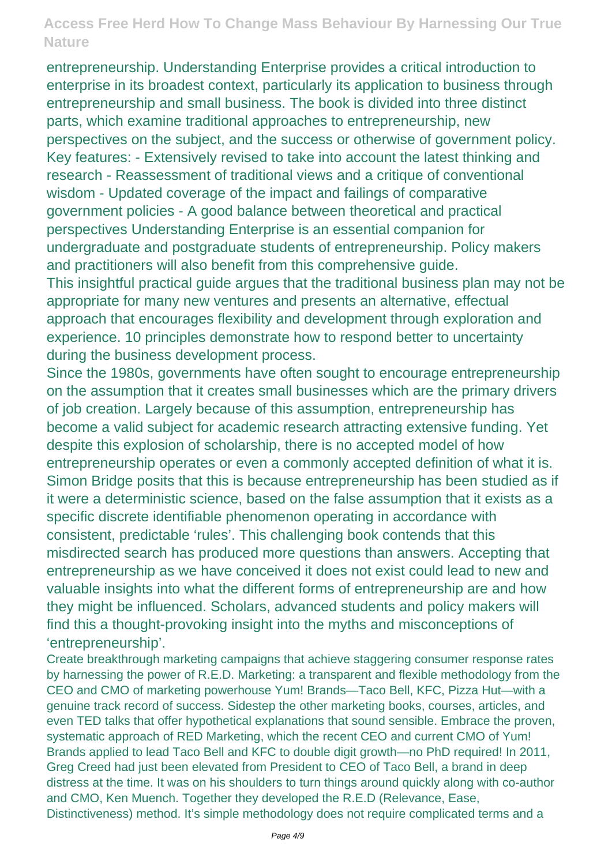entrepreneurship. Understanding Enterprise provides a critical introduction to enterprise in its broadest context, particularly its application to business through entrepreneurship and small business. The book is divided into three distinct parts, which examine traditional approaches to entrepreneurship, new perspectives on the subject, and the success or otherwise of government policy. Key features: - Extensively revised to take into account the latest thinking and research - Reassessment of traditional views and a critique of conventional wisdom - Updated coverage of the impact and failings of comparative government policies - A good balance between theoretical and practical perspectives Understanding Enterprise is an essential companion for undergraduate and postgraduate students of entrepreneurship. Policy makers and practitioners will also benefit from this comprehensive guide.

This insightful practical guide argues that the traditional business plan may not be appropriate for many new ventures and presents an alternative, effectual approach that encourages flexibility and development through exploration and experience. 10 principles demonstrate how to respond better to uncertainty during the business development process.

Since the 1980s, governments have often sought to encourage entrepreneurship on the assumption that it creates small businesses which are the primary drivers of job creation. Largely because of this assumption, entrepreneurship has become a valid subject for academic research attracting extensive funding. Yet despite this explosion of scholarship, there is no accepted model of how entrepreneurship operates or even a commonly accepted definition of what it is. Simon Bridge posits that this is because entrepreneurship has been studied as if it were a deterministic science, based on the false assumption that it exists as a specific discrete identifiable phenomenon operating in accordance with consistent, predictable 'rules'. This challenging book contends that this misdirected search has produced more questions than answers. Accepting that entrepreneurship as we have conceived it does not exist could lead to new and valuable insights into what the different forms of entrepreneurship are and how they might be influenced. Scholars, advanced students and policy makers will find this a thought-provoking insight into the myths and misconceptions of 'entrepreneurship'.

Create breakthrough marketing campaigns that achieve staggering consumer response rates by harnessing the power of R.E.D. Marketing: a transparent and flexible methodology from the CEO and CMO of marketing powerhouse Yum! Brands—Taco Bell, KFC, Pizza Hut—with a genuine track record of success. Sidestep the other marketing books, courses, articles, and even TED talks that offer hypothetical explanations that sound sensible. Embrace the proven, systematic approach of RED Marketing, which the recent CEO and current CMO of Yum! Brands applied to lead Taco Bell and KFC to double digit growth—no PhD required! In 2011, Greg Creed had just been elevated from President to CEO of Taco Bell, a brand in deep distress at the time. It was on his shoulders to turn things around quickly along with co-author and CMO, Ken Muench. Together they developed the R.E.D (Relevance, Ease, Distinctiveness) method. It's simple methodology does not require complicated terms and a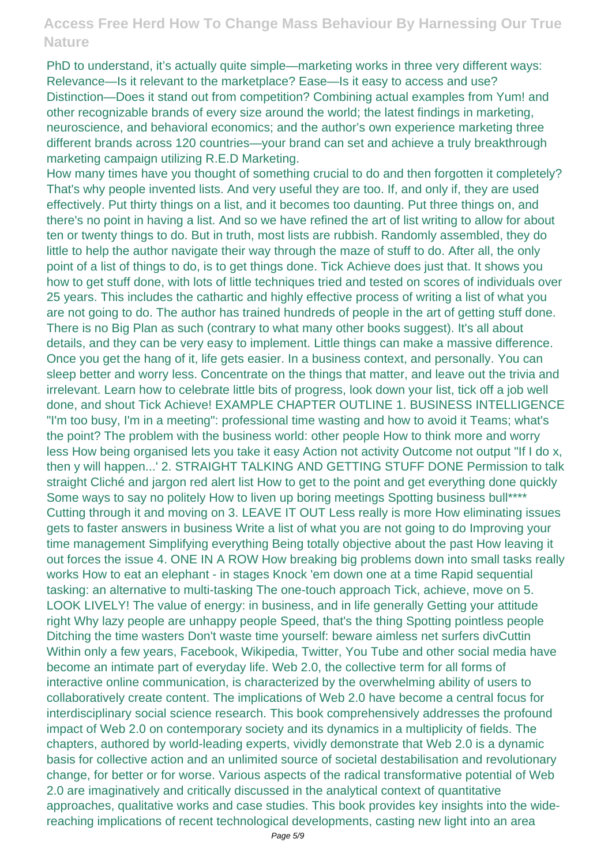PhD to understand, it's actually quite simple—marketing works in three very different ways: Relevance—Is it relevant to the marketplace? Ease—Is it easy to access and use? Distinction—Does it stand out from competition? Combining actual examples from Yum! and other recognizable brands of every size around the world; the latest findings in marketing, neuroscience, and behavioral economics; and the author's own experience marketing three different brands across 120 countries—your brand can set and achieve a truly breakthrough marketing campaign utilizing R.E.D Marketing.

How many times have you thought of something crucial to do and then forgotten it completely? That's why people invented lists. And very useful they are too. If, and only if, they are used effectively. Put thirty things on a list, and it becomes too daunting. Put three things on, and there's no point in having a list. And so we have refined the art of list writing to allow for about ten or twenty things to do. But in truth, most lists are rubbish. Randomly assembled, they do little to help the author navigate their way through the maze of stuff to do. After all, the only point of a list of things to do, is to get things done. Tick Achieve does just that. It shows you how to get stuff done, with lots of little techniques tried and tested on scores of individuals over 25 years. This includes the cathartic and highly effective process of writing a list of what you are not going to do. The author has trained hundreds of people in the art of getting stuff done. There is no Big Plan as such (contrary to what many other books suggest). It's all about details, and they can be very easy to implement. Little things can make a massive difference. Once you get the hang of it, life gets easier. In a business context, and personally. You can sleep better and worry less. Concentrate on the things that matter, and leave out the trivia and irrelevant. Learn how to celebrate little bits of progress, look down your list, tick off a job well done, and shout Tick Achieve! EXAMPLE CHAPTER OUTLINE 1. BUSINESS INTELLIGENCE "I'm too busy, I'm in a meeting": professional time wasting and how to avoid it Teams; what's the point? The problem with the business world: other people How to think more and worry less How being organised lets you take it easy Action not activity Outcome not output "If I do x, then y will happen...' 2. STRAIGHT TALKING AND GETTING STUFF DONE Permission to talk straight Cliché and jargon red alert list How to get to the point and get everything done quickly Some ways to say no politely How to liven up boring meetings Spotting business bull\*\*\*\* Cutting through it and moving on 3. LEAVE IT OUT Less really is more How eliminating issues gets to faster answers in business Write a list of what you are not going to do Improving your time management Simplifying everything Being totally objective about the past How leaving it out forces the issue 4. ONE IN A ROW How breaking big problems down into small tasks really works How to eat an elephant - in stages Knock 'em down one at a time Rapid sequential tasking: an alternative to multi-tasking The one-touch approach Tick, achieve, move on 5. LOOK LIVELY! The value of energy: in business, and in life generally Getting your attitude right Why lazy people are unhappy people Speed, that's the thing Spotting pointless people Ditching the time wasters Don't waste time yourself: beware aimless net surfers divCuttin Within only a few years, Facebook, Wikipedia, Twitter, You Tube and other social media have become an intimate part of everyday life. Web 2.0, the collective term for all forms of interactive online communication, is characterized by the overwhelming ability of users to collaboratively create content. The implications of Web 2.0 have become a central focus for interdisciplinary social science research. This book comprehensively addresses the profound impact of Web 2.0 on contemporary society and its dynamics in a multiplicity of fields. The chapters, authored by world-leading experts, vividly demonstrate that Web 2.0 is a dynamic basis for collective action and an unlimited source of societal destabilisation and revolutionary change, for better or for worse. Various aspects of the radical transformative potential of Web 2.0 are imaginatively and critically discussed in the analytical context of quantitative approaches, qualitative works and case studies. This book provides key insights into the widereaching implications of recent technological developments, casting new light into an area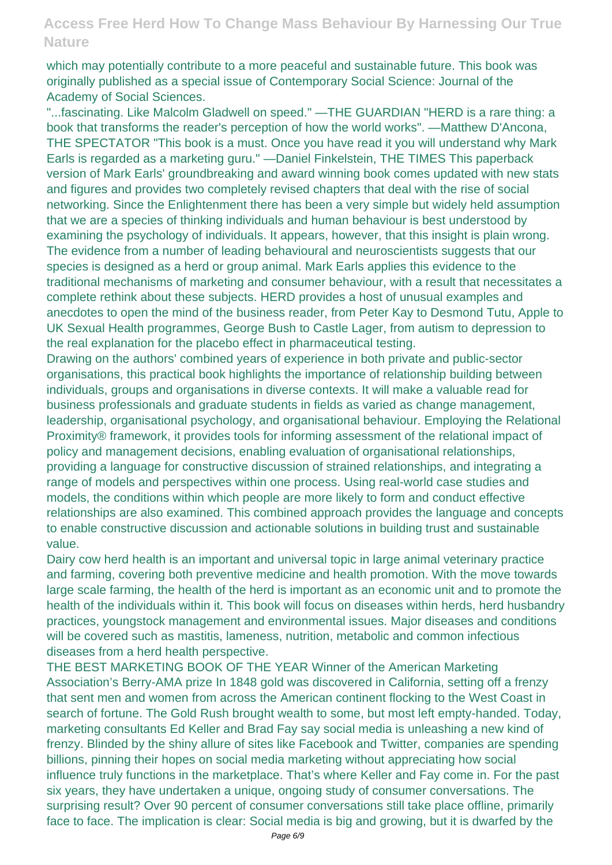which may potentially contribute to a more peaceful and sustainable future. This book was originally published as a special issue of Contemporary Social Science: Journal of the Academy of Social Sciences.

"...fascinating. Like Malcolm Gladwell on speed." —THE GUARDIAN "HERD is a rare thing: a book that transforms the reader's perception of how the world works". —Matthew D'Ancona, THE SPECTATOR "This book is a must. Once you have read it you will understand why Mark Earls is regarded as a marketing guru." —Daniel Finkelstein, THE TIMES This paperback version of Mark Earls' groundbreaking and award winning book comes updated with new stats and figures and provides two completely revised chapters that deal with the rise of social networking. Since the Enlightenment there has been a very simple but widely held assumption that we are a species of thinking individuals and human behaviour is best understood by examining the psychology of individuals. It appears, however, that this insight is plain wrong. The evidence from a number of leading behavioural and neuroscientists suggests that our species is designed as a herd or group animal. Mark Earls applies this evidence to the traditional mechanisms of marketing and consumer behaviour, with a result that necessitates a complete rethink about these subjects. HERD provides a host of unusual examples and anecdotes to open the mind of the business reader, from Peter Kay to Desmond Tutu, Apple to UK Sexual Health programmes, George Bush to Castle Lager, from autism to depression to the real explanation for the placebo effect in pharmaceutical testing.

Drawing on the authors' combined years of experience in both private and public-sector organisations, this practical book highlights the importance of relationship building between individuals, groups and organisations in diverse contexts. It will make a valuable read for business professionals and graduate students in fields as varied as change management, leadership, organisational psychology, and organisational behaviour. Employing the Relational Proximity® framework, it provides tools for informing assessment of the relational impact of policy and management decisions, enabling evaluation of organisational relationships, providing a language for constructive discussion of strained relationships, and integrating a range of models and perspectives within one process. Using real-world case studies and models, the conditions within which people are more likely to form and conduct effective relationships are also examined. This combined approach provides the language and concepts to enable constructive discussion and actionable solutions in building trust and sustainable value.

Dairy cow herd health is an important and universal topic in large animal veterinary practice and farming, covering both preventive medicine and health promotion. With the move towards large scale farming, the health of the herd is important as an economic unit and to promote the health of the individuals within it. This book will focus on diseases within herds, herd husbandry practices, youngstock management and environmental issues. Major diseases and conditions will be covered such as mastitis, lameness, nutrition, metabolic and common infectious diseases from a herd health perspective.

THE BEST MARKETING BOOK OF THE YEAR Winner of the American Marketing Association's Berry-AMA prize In 1848 gold was discovered in California, setting off a frenzy that sent men and women from across the American continent flocking to the West Coast in search of fortune. The Gold Rush brought wealth to some, but most left empty-handed. Today, marketing consultants Ed Keller and Brad Fay say social media is unleashing a new kind of frenzy. Blinded by the shiny allure of sites like Facebook and Twitter, companies are spending billions, pinning their hopes on social media marketing without appreciating how social influence truly functions in the marketplace. That's where Keller and Fay come in. For the past six years, they have undertaken a unique, ongoing study of consumer conversations. The surprising result? Over 90 percent of consumer conversations still take place offline, primarily face to face. The implication is clear: Social media is big and growing, but it is dwarfed by the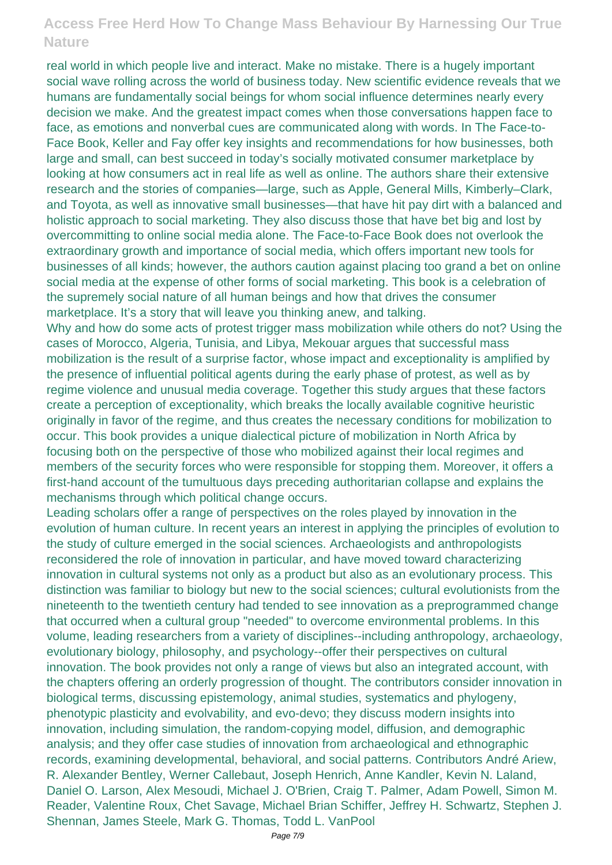real world in which people live and interact. Make no mistake. There is a hugely important social wave rolling across the world of business today. New scientific evidence reveals that we humans are fundamentally social beings for whom social influence determines nearly every decision we make. And the greatest impact comes when those conversations happen face to face, as emotions and nonverbal cues are communicated along with words. In The Face-to-Face Book, Keller and Fay offer key insights and recommendations for how businesses, both large and small, can best succeed in today's socially motivated consumer marketplace by looking at how consumers act in real life as well as online. The authors share their extensive research and the stories of companies—large, such as Apple, General Mills, Kimberly–Clark, and Toyota, as well as innovative small businesses—that have hit pay dirt with a balanced and holistic approach to social marketing. They also discuss those that have bet big and lost by overcommitting to online social media alone. The Face-to-Face Book does not overlook the extraordinary growth and importance of social media, which offers important new tools for businesses of all kinds; however, the authors caution against placing too grand a bet on online social media at the expense of other forms of social marketing. This book is a celebration of the supremely social nature of all human beings and how that drives the consumer marketplace. It's a story that will leave you thinking anew, and talking.

Why and how do some acts of protest trigger mass mobilization while others do not? Using the cases of Morocco, Algeria, Tunisia, and Libya, Mekouar argues that successful mass mobilization is the result of a surprise factor, whose impact and exceptionality is amplified by the presence of influential political agents during the early phase of protest, as well as by regime violence and unusual media coverage. Together this study argues that these factors create a perception of exceptionality, which breaks the locally available cognitive heuristic originally in favor of the regime, and thus creates the necessary conditions for mobilization to occur. This book provides a unique dialectical picture of mobilization in North Africa by focusing both on the perspective of those who mobilized against their local regimes and members of the security forces who were responsible for stopping them. Moreover, it offers a first-hand account of the tumultuous days preceding authoritarian collapse and explains the mechanisms through which political change occurs.

Leading scholars offer a range of perspectives on the roles played by innovation in the evolution of human culture. In recent years an interest in applying the principles of evolution to the study of culture emerged in the social sciences. Archaeologists and anthropologists reconsidered the role of innovation in particular, and have moved toward characterizing innovation in cultural systems not only as a product but also as an evolutionary process. This distinction was familiar to biology but new to the social sciences; cultural evolutionists from the nineteenth to the twentieth century had tended to see innovation as a preprogrammed change that occurred when a cultural group "needed" to overcome environmental problems. In this volume, leading researchers from a variety of disciplines--including anthropology, archaeology, evolutionary biology, philosophy, and psychology--offer their perspectives on cultural innovation. The book provides not only a range of views but also an integrated account, with the chapters offering an orderly progression of thought. The contributors consider innovation in biological terms, discussing epistemology, animal studies, systematics and phylogeny, phenotypic plasticity and evolvability, and evo-devo; they discuss modern insights into innovation, including simulation, the random-copying model, diffusion, and demographic analysis; and they offer case studies of innovation from archaeological and ethnographic records, examining developmental, behavioral, and social patterns. Contributors André Ariew, R. Alexander Bentley, Werner Callebaut, Joseph Henrich, Anne Kandler, Kevin N. Laland, Daniel O. Larson, Alex Mesoudi, Michael J. O'Brien, Craig T. Palmer, Adam Powell, Simon M. Reader, Valentine Roux, Chet Savage, Michael Brian Schiffer, Jeffrey H. Schwartz, Stephen J. Shennan, James Steele, Mark G. Thomas, Todd L. VanPool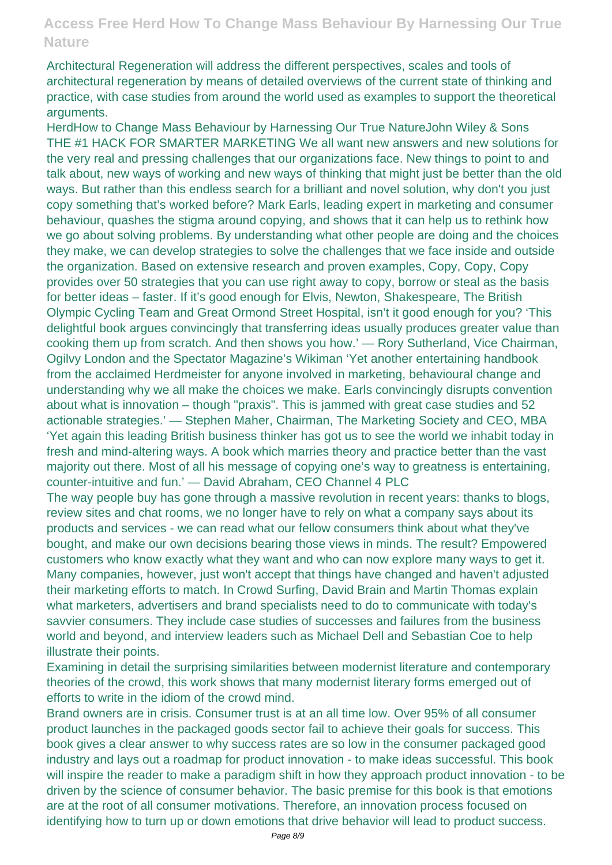Architectural Regeneration will address the different perspectives, scales and tools of architectural regeneration by means of detailed overviews of the current state of thinking and practice, with case studies from around the world used as examples to support the theoretical arguments.

HerdHow to Change Mass Behaviour by Harnessing Our True NatureJohn Wiley & Sons THE #1 HACK FOR SMARTER MARKETING We all want new answers and new solutions for the very real and pressing challenges that our organizations face. New things to point to and talk about, new ways of working and new ways of thinking that might just be better than the old ways. But rather than this endless search for a brilliant and novel solution, why don't you just copy something that's worked before? Mark Earls, leading expert in marketing and consumer behaviour, quashes the stigma around copying, and shows that it can help us to rethink how we go about solving problems. By understanding what other people are doing and the choices they make, we can develop strategies to solve the challenges that we face inside and outside the organization. Based on extensive research and proven examples, Copy, Copy, Copy provides over 50 strategies that you can use right away to copy, borrow or steal as the basis for better ideas – faster. If it's good enough for Elvis, Newton, Shakespeare, The British Olympic Cycling Team and Great Ormond Street Hospital, isn't it good enough for you? 'This delightful book argues convincingly that transferring ideas usually produces greater value than cooking them up from scratch. And then shows you how.' — Rory Sutherland, Vice Chairman, Ogilvy London and the Spectator Magazine's Wikiman 'Yet another entertaining handbook from the acclaimed Herdmeister for anyone involved in marketing, behavioural change and understanding why we all make the choices we make. Earls convincingly disrupts convention about what is innovation – though "praxis". This is jammed with great case studies and 52 actionable strategies.' — Stephen Maher, Chairman, The Marketing Society and CEO, MBA 'Yet again this leading British business thinker has got us to see the world we inhabit today in fresh and mind-altering ways. A book which marries theory and practice better than the vast majority out there. Most of all his message of copying one's way to greatness is entertaining, counter-intuitive and fun.' — David Abraham, CEO Channel 4 PLC

The way people buy has gone through a massive revolution in recent years: thanks to blogs, review sites and chat rooms, we no longer have to rely on what a company says about its products and services - we can read what our fellow consumers think about what they've bought, and make our own decisions bearing those views in minds. The result? Empowered customers who know exactly what they want and who can now explore many ways to get it. Many companies, however, just won't accept that things have changed and haven't adjusted their marketing efforts to match. In Crowd Surfing, David Brain and Martin Thomas explain what marketers, advertisers and brand specialists need to do to communicate with today's savvier consumers. They include case studies of successes and failures from the business world and beyond, and interview leaders such as Michael Dell and Sebastian Coe to help illustrate their points.

Examining in detail the surprising similarities between modernist literature and contemporary theories of the crowd, this work shows that many modernist literary forms emerged out of efforts to write in the idiom of the crowd mind.

Brand owners are in crisis. Consumer trust is at an all time low. Over 95% of all consumer product launches in the packaged goods sector fail to achieve their goals for success. This book gives a clear answer to why success rates are so low in the consumer packaged good industry and lays out a roadmap for product innovation - to make ideas successful. This book will inspire the reader to make a paradigm shift in how they approach product innovation - to be driven by the science of consumer behavior. The basic premise for this book is that emotions are at the root of all consumer motivations. Therefore, an innovation process focused on identifying how to turn up or down emotions that drive behavior will lead to product success.